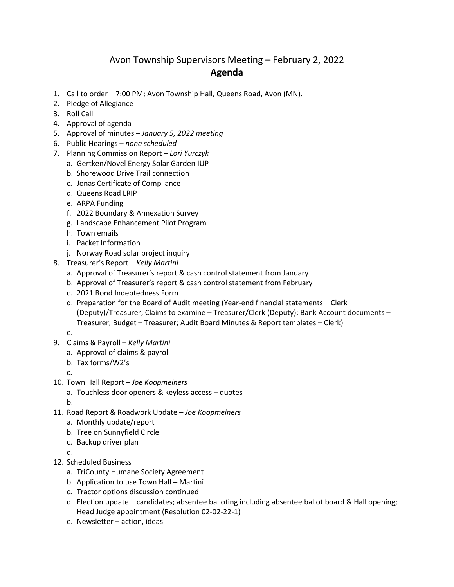## Avon Township Supervisors Meeting – February 2, 2022 **Agenda**

- 1. Call to order 7:00 PM; Avon Township Hall, Queens Road, Avon (MN).
- 2. Pledge of Allegiance
- 3. Roll Call
- 4. Approval of agenda
- 5. Approval of minutes *January 5, 2022 meeting*
- 6. Public Hearings *none scheduled*
- 7. Planning Commission Report *– Lori Yurczyk*
	- a. Gertken/Novel Energy Solar Garden IUP
	- b. Shorewood Drive Trail connection
	- c. Jonas Certificate of Compliance
	- d. Queens Road LRIP
	- e. ARPA Funding
	- f. 2022 Boundary & Annexation Survey
	- g. Landscape Enhancement Pilot Program
	- h. Town emails
	- i. Packet Information
	- j. Norway Road solar project inquiry
- 8. Treasurer's Report *Kelly Martini*
	- a. Approval of Treasurer's report & cash control statement from January
	- b. Approval of Treasurer's report & cash control statement from February
	- c. 2021 Bond Indebtedness Form
	- d. Preparation for the Board of Audit meeting (Year-end financial statements Clerk (Deputy)/Treasurer; Claims to examine – Treasurer/Clerk (Deputy); Bank Account documents – Treasurer; Budget – Treasurer; Audit Board Minutes & Report templates – Clerk)

e.

- 9. Claims & Payroll *Kelly Martini*
	- a. Approval of claims & payroll
	- b. Tax forms/W2's
	- c.
- 10. Town Hall Report *Joe Koopmeiners*
	- a. Touchless door openers & keyless access quotes

b.

- 11. Road Report & Roadwork Update *Joe Koopmeiners*
	- a. Monthly update/report
	- b. Tree on Sunnyfield Circle
	- c. Backup driver plan
	- d.
- 12. Scheduled Business
	- a. TriCounty Humane Society Agreement
	- b. Application to use Town Hall Martini
	- c. Tractor options discussion continued
	- d. Election update candidates; absentee balloting including absentee ballot board & Hall opening; Head Judge appointment (Resolution 02-02-22-1)
	- e. Newsletter action, ideas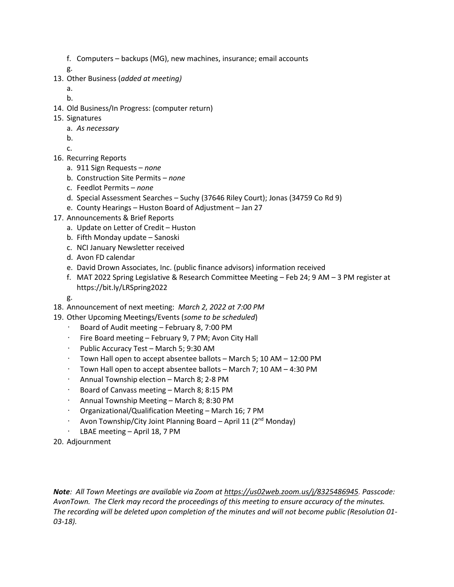f. Computers – backups (MG), new machines, insurance; email accounts

g.

13. Other Business (*added at meeting)*

a.

- b.
- 14. Old Business/In Progress: (computer return)
- 15. Signatures
	- a. *As necessary*
	- b.
	- c.
- 16. Recurring Reports
	- a. 911 Sign Requests *none*
	- b. Construction Site Permits *none*
	- c. Feedlot Permits *none*
	- d. Special Assessment Searches Suchy (37646 Riley Court); Jonas (34759 Co Rd 9)
	- e. County Hearings Huston Board of Adjustment Jan 27
- 17. Announcements & Brief Reports
	- a. Update on Letter of Credit Huston
	- b. Fifth Monday update Sanoski
	- c. NCI January Newsletter received
	- d. Avon FD calendar
	- e. David Drown Associates, Inc. (public finance advisors) information received
	- f. MAT 2022 Spring Legislative & Research Committee Meeting Feb 24; 9 AM 3 PM register at https://bit.ly/LRSpring2022
	- g.
- 18. Announcement of next meeting: *March 2, 2022 at 7:00 PM*
- 19. Other Upcoming Meetings/Events (*some to be scheduled*)
	- Board of Audit meeting February 8, 7:00 PM
	- Fire Board meeting February 9, 7 PM; Avon City Hall
	- Public Accuracy Test March 5; 9:30 AM
	- Town Hall open to accept absentee ballots March 5; 10 AM 12:00 PM
	- $\cdot$  Town Hall open to accept absentee ballots March 7; 10 AM 4:30 PM
	- Annual Township election March 8; 2-8 PM
	- Board of Canvass meeting March 8; 8:15 PM
	- Annual Township Meeting March 8; 8:30 PM
	- Organizational/Qualification Meeting March 16; 7 PM
	- Avon Township/City Joint Planning Board April 11 (2nd Monday)
	- LBAE meeting April 18, 7 PM
- 20. Adjournment

*Note: All Town Meetings are available via Zoom at https://us02web.zoom.us/j/8325486945. Passcode: AvonTown. The Clerk may record the proceedings of this meeting to ensure accuracy of the minutes. The recording will be deleted upon completion of the minutes and will not become public (Resolution 01- 03-18).*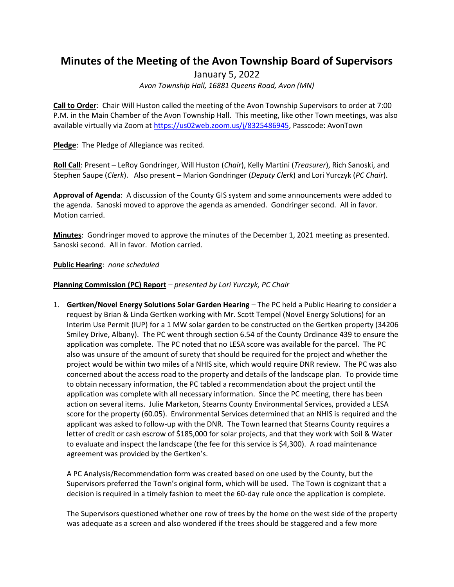# **Minutes of the Meeting of the Avon Township Board of Supervisors**

January 5, 2022

*Avon Township Hall, 16881 Queens Road, Avon (MN)*

**Call to Order**: Chair Will Huston called the meeting of the Avon Township Supervisors to order at 7:00 P.M. in the Main Chamber of the Avon Township Hall. This meeting, like other Town meetings, was also available virtually via Zoom at [https://us02web.zoom.us/j/8325486945,](https://us02web.zoom.us/j/8325486945) Passcode: AvonTown

**Pledge**: The Pledge of Allegiance was recited.

**Roll Call**: Present – LeRoy Gondringer, Will Huston (*Chair*), Kelly Martini (*Treasurer*), Rich Sanoski, and Stephen Saupe (*Clerk*). Also present – Marion Gondringer (*Deputy Clerk*) and Lori Yurczyk (*PC Chair*).

**Approval of Agenda**: A discussion of the County GIS system and some announcements were added to the agenda. Sanoski moved to approve the agenda as amended. Gondringer second. All in favor. Motion carried.

**Minutes**: Gondringer moved to approve the minutes of the December 1, 2021 meeting as presented. Sanoski second. All in favor. Motion carried.

**Public Hearing**: *none scheduled*

#### **Planning Commission (PC) Report** *– presented by Lori Yurczyk, PC Chair*

1. **Gertken/Novel Energy Solutions Solar Garden Hearing** – The PC held a Public Hearing to consider a request by Brian & Linda Gertken working with Mr. Scott Tempel (Novel Energy Solutions) for an Interim Use Permit (IUP) for a 1 MW solar garden to be constructed on the Gertken property (34206 Smiley Drive, Albany). The PC went through section 6.54 of the County Ordinance 439 to ensure the application was complete. The PC noted that no LESA score was available for the parcel. The PC also was unsure of the amount of surety that should be required for the project and whether the project would be within two miles of a NHIS site, which would require DNR review. The PC was also concerned about the access road to the property and details of the landscape plan. To provide time to obtain necessary information, the PC tabled a recommendation about the project until the application was complete with all necessary information. Since the PC meeting, there has been action on several items. Julie Marketon, Stearns County Environmental Services, provided a LESA score for the property (60.05). Environmental Services determined that an NHIS is required and the applicant was asked to follow-up with the DNR. The Town learned that Stearns County requires a letter of credit or cash escrow of \$185,000 for solar projects, and that they work with Soil & Water to evaluate and inspect the landscape (the fee for this service is \$4,300). A road maintenance agreement was provided by the Gertken's.

A PC Analysis/Recommendation form was created based on one used by the County, but the Supervisors preferred the Town's original form, which will be used. The Town is cognizant that a decision is required in a timely fashion to meet the 60-day rule once the application is complete.

The Supervisors questioned whether one row of trees by the home on the west side of the property was adequate as a screen and also wondered if the trees should be staggered and a few more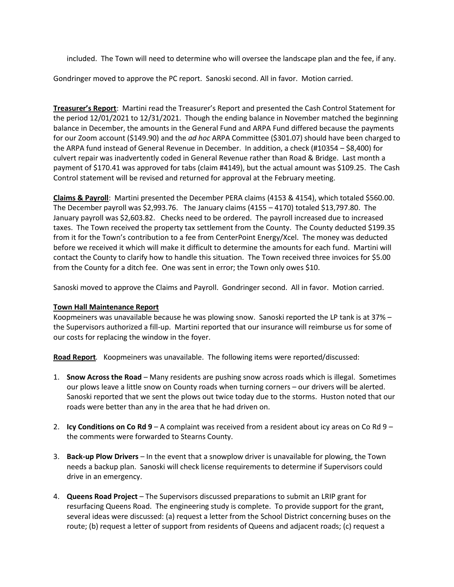included. The Town will need to determine who will oversee the landscape plan and the fee, if any.

Gondringer moved to approve the PC report. Sanoski second. All in favor. Motion carried.

**Treasurer's Report**: Martini read the Treasurer's Report and presented the Cash Control Statement for the period 12/01/2021 to 12/31/2021. Though the ending balance in November matched the beginning balance in December, the amounts in the General Fund and ARPA Fund differed because the payments for our Zoom account (\$149.90) and the *ad hoc* ARPA Committee (\$301.07) should have been charged to the ARPA fund instead of General Revenue in December. In addition, a check (#10354 – \$8,400) for culvert repair was inadvertently coded in General Revenue rather than Road & Bridge. Last month a payment of \$170.41 was approved for tabs (claim #4149), but the actual amount was \$109.25. The Cash Control statement will be revised and returned for approval at the February meeting.

**Claims & Payroll**: Martini presented the December PERA claims (4153 & 4154), which totaled \$560.00. The December payroll was \$2,993.76. The January claims (4155 – 4170) totaled \$13,797.80. The January payroll was \$2,603.82. Checks need to be ordered. The payroll increased due to increased taxes. The Town received the property tax settlement from the County. The County deducted \$199.35 from it for the Town's contribution to a fee from CenterPoint Energy/Xcel. The money was deducted before we received it which will make it difficult to determine the amounts for each fund. Martini will contact the County to clarify how to handle this situation. The Town received three invoices for \$5.00 from the County for a ditch fee. One was sent in error; the Town only owes \$10.

Sanoski moved to approve the Claims and Payroll. Gondringer second. All in favor. Motion carried.

#### **Town Hall Maintenance Report**

Koopmeiners was unavailable because he was plowing snow. Sanoski reported the LP tank is at 37% – the Supervisors authorized a fill-up. Martini reported that our insurance will reimburse us for some of our costs for replacing the window in the foyer.

**Road Report***.* Koopmeiners was unavailable. The following items were reported/discussed:

- 1. **Snow Across the Road** Many residents are pushing snow across roads which is illegal. Sometimes our plows leave a little snow on County roads when turning corners – our drivers will be alerted. Sanoski reported that we sent the plows out twice today due to the storms. Huston noted that our roads were better than any in the area that he had driven on.
- 2. **Icy Conditions on Co Rd 9** A complaint was received from a resident about icy areas on Co Rd 9 the comments were forwarded to Stearns County.
- 3. **Back-up Plow Drivers** In the event that a snowplow driver is unavailable for plowing, the Town needs a backup plan. Sanoski will check license requirements to determine if Supervisors could drive in an emergency.
- 4. **Queens Road Project** The Supervisors discussed preparations to submit an LRIP grant for resurfacing Queens Road. The engineering study is complete. To provide support for the grant, several ideas were discussed: (a) request a letter from the School District concerning buses on the route; (b) request a letter of support from residents of Queens and adjacent roads; (c) request a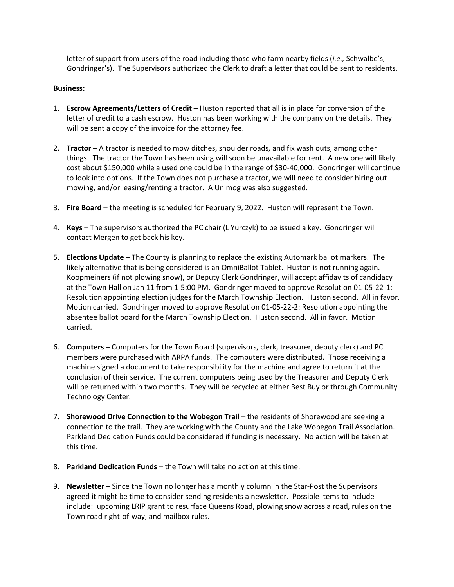letter of support from users of the road including those who farm nearby fields (*i.e.,* Schwalbe's, Gondringer's). The Supervisors authorized the Clerk to draft a letter that could be sent to residents.

#### **Business:**

- 1. **Escrow Agreements/Letters of Credit** Huston reported that all is in place for conversion of the letter of credit to a cash escrow. Huston has been working with the company on the details. They will be sent a copy of the invoice for the attorney fee.
- 2. **Tractor**  A tractor is needed to mow ditches, shoulder roads, and fix wash outs, among other things. The tractor the Town has been using will soon be unavailable for rent. A new one will likely cost about \$150,000 while a used one could be in the range of \$30-40,000. Gondringer will continue to look into options. If the Town does not purchase a tractor, we will need to consider hiring out mowing, and/or leasing/renting a tractor. A Unimog was also suggested.
- 3. **Fire Board**  the meeting is scheduled for February 9, 2022. Huston will represent the Town.
- 4. **Keys**  The supervisors authorized the PC chair (L Yurczyk) to be issued a key. Gondringer will contact Mergen to get back his key.
- 5. **Elections Update**  The County is planning to replace the existing Automark ballot markers. The likely alternative that is being considered is an OmniBallot Tablet. Huston is not running again. Koopmeiners (if not plowing snow), or Deputy Clerk Gondringer, will accept affidavits of candidacy at the Town Hall on Jan 11 from 1-5:00 PM. Gondringer moved to approve Resolution 01-05-22-1: Resolution appointing election judges for the March Township Election. Huston second. All in favor. Motion carried. Gondringer moved to approve Resolution 01-05-22-2: Resolution appointing the absentee ballot board for the March Township Election. Huston second. All in favor. Motion carried.
- 6. **Computers**  Computers for the Town Board (supervisors, clerk, treasurer, deputy clerk) and PC members were purchased with ARPA funds. The computers were distributed. Those receiving a machine signed a document to take responsibility for the machine and agree to return it at the conclusion of their service. The current computers being used by the Treasurer and Deputy Clerk will be returned within two months. They will be recycled at either Best Buy or through Community Technology Center.
- 7. **Shorewood Drive Connection to the Wobegon Trail**  the residents of Shorewood are seeking a connection to the trail. They are working with the County and the Lake Wobegon Trail Association. Parkland Dedication Funds could be considered if funding is necessary. No action will be taken at this time.
- 8. **Parkland Dedication Funds**  the Town will take no action at this time.
- 9. **Newsletter**  Since the Town no longer has a monthly column in the Star-Post the Supervisors agreed it might be time to consider sending residents a newsletter. Possible items to include include: upcoming LRIP grant to resurface Queens Road, plowing snow across a road, rules on the Town road right-of-way, and mailbox rules.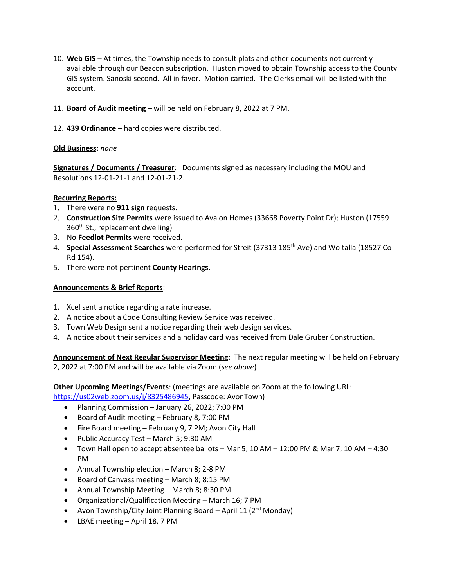- 10. **Web GIS**  At times, the Township needs to consult plats and other documents not currently available through our Beacon subscription. Huston moved to obtain Township access to the County GIS system. Sanoski second. All in favor. Motion carried. The Clerks email will be listed with the account.
- 11. **Board of Audit meeting**  will be held on February 8, 2022 at 7 PM.
- 12. **439 Ordinance**  hard copies were distributed.

#### **Old Business**: *none*

**Signatures / Documents / Treasurer**: Documents signed as necessary including the MOU and Resolutions 12-01-21-1 and 12-01-21-2.

#### **Recurring Reports:**

- 1. There were no **911 sign** requests.
- 2. **Construction Site Permits** were issued to Avalon Homes (33668 Poverty Point Dr); Huston (17559 360<sup>th</sup> St.; replacement dwelling)
- 3. No **Feedlot Permits** were received.
- 4. **Special Assessment Searches** were performed for Streit (37313 185th Ave) and Woitalla (18527 Co Rd 154).
- 5. There were not pertinent **County Hearings.**

#### **Announcements & Brief Reports**:

- 1. Xcel sent a notice regarding a rate increase.
- 2. A notice about a Code Consulting Review Service was received.
- 3. Town Web Design sent a notice regarding their web design services.
- 4. A notice about their services and a holiday card was received from Dale Gruber Construction.

**Announcement of Next Regular Supervisor Meeting**: The next regular meeting will be held on February 2, 2022 at 7:00 PM and will be available via Zoom (*see above*)

**Other Upcoming Meetings/Events**: (meetings are available on Zoom at the following URL:

[https://us02web.zoom.us/j/8325486945,](https://us02web.zoom.us/j/8325486945) Passcode: AvonTown)

- Planning Commission January 26, 2022; 7:00 PM
- Board of Audit meeting February 8, 7:00 PM
- Fire Board meeting February 9, 7 PM; Avon City Hall
- Public Accuracy Test March 5; 9:30 AM
- Town Hall open to accept absentee ballots Mar 5; 10 AM 12:00 PM & Mar 7; 10 AM 4:30 PM
- Annual Township election March 8; 2-8 PM
- Board of Canvass meeting March 8; 8:15 PM
- Annual Township Meeting March 8; 8:30 PM
- Organizational/Qualification Meeting March 16; 7 PM
- Avon Township/City Joint Planning Board April 11  $(2^{nd}$  Monday)
- LBAE meeting April 18, 7 PM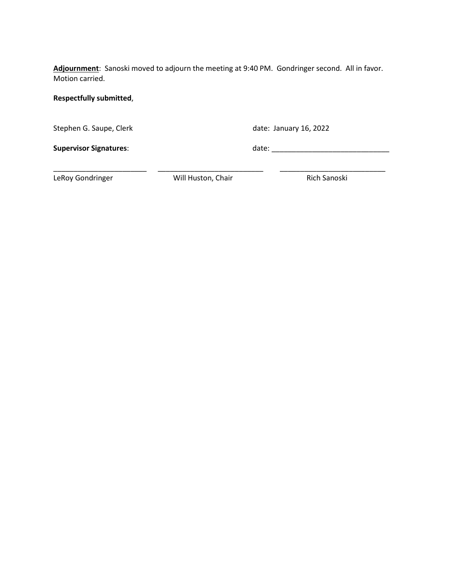**Adjournment**: Sanoski moved to adjourn the meeting at 9:40 PM. Gondringer second. All in favor. Motion carried.

#### **Respectfully submitted**,

Stephen G. Saupe, Clerk date: January 16, 2022

**Supervisor Signatures**: date: \_\_\_\_\_\_\_\_\_\_\_\_\_\_\_\_\_\_\_\_\_\_\_\_\_\_\_\_\_

LeRoy Gondringer **Mill Huston, Chair** Rich Sanoski

\_\_\_\_\_\_\_\_\_\_\_\_\_\_\_\_\_\_\_\_\_\_\_ \_\_\_\_\_\_\_\_\_\_\_\_\_\_\_\_\_\_\_\_\_\_\_\_\_\_ \_\_\_\_\_\_\_\_\_\_\_\_\_\_\_\_\_\_\_\_\_\_\_\_\_\_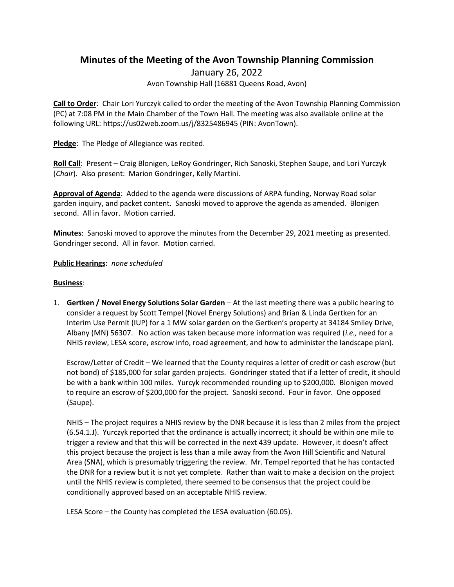### **Minutes of the Meeting of the Avon Township Planning Commission**

January 26, 2022 Avon Township Hall (16881 Queens Road, Avon)

**Call to Order**: Chair Lori Yurczyk called to order the meeting of the Avon Township Planning Commission (PC) at 7:08 PM in the Main Chamber of the Town Hall. The meeting was also available online at the following URL: https://us02web.zoom.us/j/8325486945 (PIN: AvonTown).

**Pledge**: The Pledge of Allegiance was recited.

**Roll Call**: Present – Craig Blonigen, LeRoy Gondringer, Rich Sanoski, Stephen Saupe, and Lori Yurczyk (*Chair*). Also present: Marion Gondringer, Kelly Martini.

**Approval of Agenda**: Added to the agenda were discussions of ARPA funding, Norway Road solar garden inquiry, and packet content. Sanoski moved to approve the agenda as amended. Blonigen second. All in favor. Motion carried.

**Minutes**: Sanoski moved to approve the minutes from the December 29, 2021 meeting as presented. Gondringer second. All in favor. Motion carried.

#### **Public Hearings**: *none scheduled*

#### **Business**:

1. **Gertken / Novel Energy Solutions Solar Garden** – At the last meeting there was a public hearing to consider a request by Scott Tempel (Novel Energy Solutions) and Brian & Linda Gertken for an Interim Use Permit (IUP) for a 1 MW solar garden on the Gertken's property at 34184 Smiley Drive, Albany (MN) 56307. No action was taken because more information was required (*i.e.,* need for a NHIS review, LESA score, escrow info, road agreement, and how to administer the landscape plan).

Escrow/Letter of Credit – We learned that the County requires a letter of credit or cash escrow (but not bond) of \$185,000 for solar garden projects. Gondringer stated that if a letter of credit, it should be with a bank within 100 miles. Yurcyk recommended rounding up to \$200,000. Blonigen moved to require an escrow of \$200,000 for the project. Sanoski second. Four in favor. One opposed (Saupe).

NHIS – The project requires a NHIS review by the DNR because it is less than 2 miles from the project (6.54.1.J). Yurczyk reported that the ordinance is actually incorrect; it should be within one mile to trigger a review and that this will be corrected in the next 439 update. However, it doesn't affect this project because the project is less than a mile away from the Avon Hill Scientific and Natural Area (SNA), which is presumably triggering the review. Mr. Tempel reported that he has contacted the DNR for a review but it is not yet complete. Rather than wait to make a decision on the project until the NHIS review is completed, there seemed to be consensus that the project could be conditionally approved based on an acceptable NHIS review.

LESA Score – the County has completed the LESA evaluation (60.05).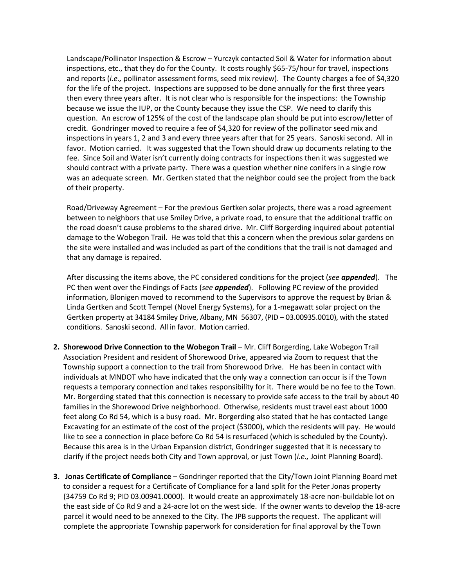Landscape/Pollinator Inspection & Escrow – Yurczyk contacted Soil & Water for information about inspections, etc., that they do for the County. It costs roughly \$65-75/hour for travel, inspections and reports (*i.e.,* pollinator assessment forms, seed mix review). The County charges a fee of \$4,320 for the life of the project. Inspections are supposed to be done annually for the first three years then every three years after. It is not clear who is responsible for the inspections: the Township because we issue the IUP, or the County because they issue the CSP. We need to clarify this question. An escrow of 125% of the cost of the landscape plan should be put into escrow/letter of credit. Gondringer moved to require a fee of \$4,320 for review of the pollinator seed mix and inspections in years 1, 2 and 3 and every three years after that for 25 years. Sanoski second. All in favor. Motion carried. It was suggested that the Town should draw up documents relating to the fee. Since Soil and Water isn't currently doing contracts for inspections then it was suggested we should contract with a private party. There was a question whether nine conifers in a single row was an adequate screen. Mr. Gertken stated that the neighbor could see the project from the back of their property.

Road/Driveway Agreement – For the previous Gertken solar projects, there was a road agreement between to neighbors that use Smiley Drive, a private road, to ensure that the additional traffic on the road doesn't cause problems to the shared drive. Mr. Cliff Borgerding inquired about potential damage to the Wobegon Trail. He was told that this a concern when the previous solar gardens on the site were installed and was included as part of the conditions that the trail is not damaged and that any damage is repaired.

After discussing the items above, the PC considered conditions for the project (*see appended*). The PC then went over the Findings of Facts (*see appended*). Following PC review of the provided information, Blonigen moved to recommend to the Supervisors to approve the request by Brian & Linda Gertken and Scott Tempel (Novel Energy Systems), for a 1-megawatt solar project on the Gertken property at 34184 Smiley Drive, Albany, MN 56307, (PID – 03.00935.0010), with the stated conditions. Sanoski second. All in favor. Motion carried.

- **2. Shorewood Drive Connection to the Wobegon Trail**  Mr. Cliff Borgerding, Lake Wobegon Trail Association President and resident of Shorewood Drive, appeared via Zoom to request that the Township support a connection to the trail from Shorewood Drive. He has been in contact with individuals at MNDOT who have indicated that the only way a connection can occur is if the Town requests a temporary connection and takes responsibility for it. There would be no fee to the Town. Mr. Borgerding stated that this connection is necessary to provide safe access to the trail by about 40 families in the Shorewood Drive neighborhood. Otherwise, residents must travel east about 1000 feet along Co Rd 54, which is a busy road. Mr. Borgerding also stated that he has contacted Lange Excavating for an estimate of the cost of the project (\$3000), which the residents will pay. He would like to see a connection in place before Co Rd 54 is resurfaced (which is scheduled by the County). Because this area is in the Urban Expansion district, Gondringer suggested that it is necessary to clarify if the project needs both City and Town approval, or just Town (*i.e.,* Joint Planning Board).
- **3. Jonas Certificate of Compliance**  Gondringer reported that the City/Town Joint Planning Board met to consider a request for a Certificate of Compliance for a land split for the Peter Jonas property (34759 Co Rd 9; PID 03.00941.0000). It would create an approximately 18-acre non-buildable lot on the east side of Co Rd 9 and a 24-acre lot on the west side. If the owner wants to develop the 18-acre parcel it would need to be annexed to the City. The JPB supports the request. The applicant will complete the appropriate Township paperwork for consideration for final approval by the Town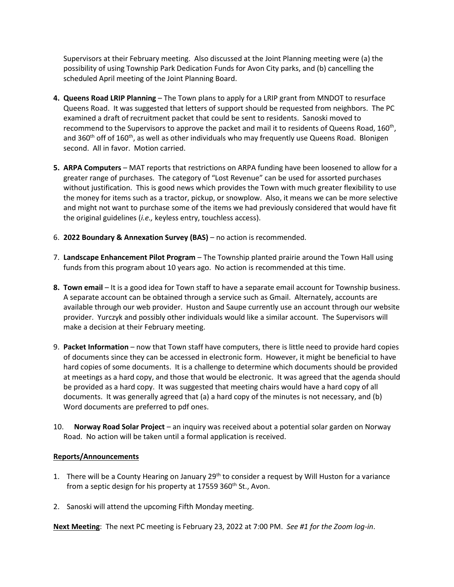Supervisors at their February meeting. Also discussed at the Joint Planning meeting were (a) the possibility of using Township Park Dedication Funds for Avon City parks, and (b) cancelling the scheduled April meeting of the Joint Planning Board.

- **4. Queens Road LRIP Planning**  The Town plans to apply for a LRIP grant from MNDOT to resurface Queens Road. It was suggested that letters of support should be requested from neighbors. The PC examined a draft of recruitment packet that could be sent to residents. Sanoski moved to recommend to the Supervisors to approve the packet and mail it to residents of Queens Road, 160<sup>th</sup>, and 360<sup>th</sup> off of 160<sup>th</sup>, as well as other individuals who may frequently use Queens Road. Blonigen second. All in favor. Motion carried.
- **5. ARPA Computers** MAT reports that restrictions on ARPA funding have been loosened to allow for a greater range of purchases. The category of "Lost Revenue" can be used for assorted purchases without justification. This is good news which provides the Town with much greater flexibility to use the money for items such as a tractor, pickup, or snowplow. Also, it means we can be more selective and might not want to purchase some of the items we had previously considered that would have fit the original guidelines (*i.e.,* keyless entry, touchless access).
- 6. **2022 Boundary & Annexation Survey (BAS)**  no action is recommended.
- 7. **Landscape Enhancement Pilot Program**  The Township planted prairie around the Town Hall using funds from this program about 10 years ago. No action is recommended at this time.
- **8. Town email**  It is a good idea for Town staff to have a separate email account for Township business. A separate account can be obtained through a service such as Gmail. Alternately, accounts are available through our web provider. Huston and Saupe currently use an account through our website provider. Yurczyk and possibly other individuals would like a similar account. The Supervisors will make a decision at their February meeting.
- 9. **Packet Information**  now that Town staff have computers, there is little need to provide hard copies of documents since they can be accessed in electronic form. However, it might be beneficial to have hard copies of some documents. It is a challenge to determine which documents should be provided at meetings as a hard copy, and those that would be electronic. It was agreed that the agenda should be provided as a hard copy. It was suggested that meeting chairs would have a hard copy of all documents. It was generally agreed that (a) a hard copy of the minutes is not necessary, and (b) Word documents are preferred to pdf ones.
- 10. **Norway Road Solar Project** an inquiry was received about a potential solar garden on Norway Road. No action will be taken until a formal application is received.

#### **Reports/Announcements**

- 1. There will be a County Hearing on January 29<sup>th</sup> to consider a request by Will Huston for a variance from a septic design for his property at 17559 360<sup>th</sup> St., Avon.
- 2. Sanoski will attend the upcoming Fifth Monday meeting.

**Next Meeting**: The next PC meeting is February 23, 2022 at 7:00 PM. *See #1 for the Zoom log-in*.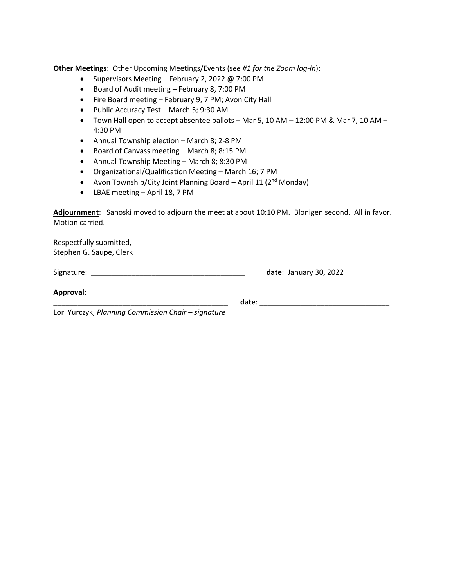**Other Meetings**: Other Upcoming Meetings/Events (s*ee #1 for the Zoom log-in*):

- Supervisors Meeting February 2, 2022 @ 7:00 PM
- Board of Audit meeting February 8, 7:00 PM
- Fire Board meeting February 9, 7 PM; Avon City Hall
- Public Accuracy Test March 5; 9:30 AM
- Town Hall open to accept absentee ballots Mar 5, 10 AM 12:00 PM & Mar 7, 10 AM 4:30 PM
- Annual Township election March 8; 2-8 PM
- Board of Canvass meeting March 8; 8:15 PM
- Annual Township Meeting March 8; 8:30 PM
- Organizational/Qualification Meeting March 16; 7 PM
- Avon Township/City Joint Planning Board April 11 ( $2<sup>nd</sup>$  Monday)
- LBAE meeting April 18, 7 PM

**Adjournment**: Sanoski moved to adjourn the meet at about 10:10 PM. Blonigen second. All in favor. Motion carried.

Respectfully submitted, Stephen G. Saupe, Clerk

Signature: \_\_\_\_\_\_\_\_\_\_\_\_\_\_\_\_\_\_\_\_\_\_\_\_\_\_\_\_\_\_\_\_\_\_\_\_\_\_ **date**: January 30, 2022

**Approval**:

\_\_\_\_\_\_\_\_\_\_\_\_\_\_\_\_\_\_\_\_\_\_\_\_\_\_\_\_\_\_\_\_\_\_\_\_\_\_\_\_\_\_\_ **date**: \_\_\_\_\_\_\_\_\_\_\_\_\_\_\_\_\_\_\_\_\_\_\_\_\_\_\_\_\_\_\_\_

Lori Yurczyk, *Planning Commission Chair – signature*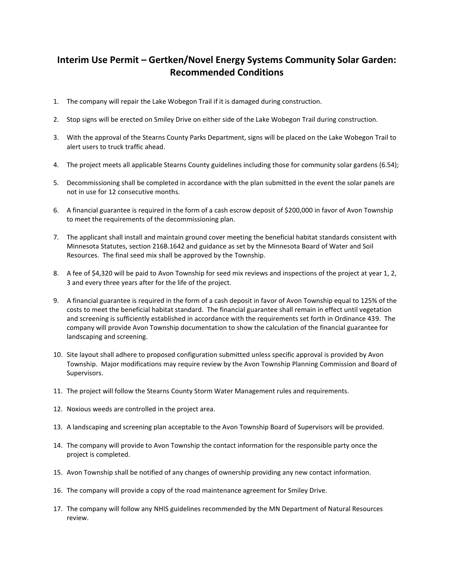## **Interim Use Permit – Gertken/Novel Energy Systems Community Solar Garden: Recommended Conditions**

- 1. The company will repair the Lake Wobegon Trail if it is damaged during construction.
- 2. Stop signs will be erected on Smiley Drive on either side of the Lake Wobegon Trail during construction.
- 3. With the approval of the Stearns County Parks Department, signs will be placed on the Lake Wobegon Trail to alert users to truck traffic ahead.
- 4. The project meets all applicable Stearns County guidelines including those for community solar gardens (6.54);
- 5. Decommissioning shall be completed in accordance with the plan submitted in the event the solar panels are not in use for 12 consecutive months.
- 6. A financial guarantee is required in the form of a cash escrow deposit of \$200,000 in favor of Avon Township to meet the requirements of the decommissioning plan.
- 7. The applicant shall install and maintain ground cover meeting the beneficial habitat standards consistent with Minnesota Statutes, section 216B.1642 and guidance as set by the Minnesota Board of Water and Soil Resources. The final seed mix shall be approved by the Township.
- 8. A fee of \$4,320 will be paid to Avon Township for seed mix reviews and inspections of the project at year 1, 2, 3 and every three years after for the life of the project.
- 9. A financial guarantee is required in the form of a cash deposit in favor of Avon Township equal to 125% of the costs to meet the beneficial habitat standard. The financial guarantee shall remain in effect until vegetation and screening is sufficiently established in accordance with the requirements set forth in Ordinance 439. The company will provide Avon Township documentation to show the calculation of the financial guarantee for landscaping and screening.
- 10. Site layout shall adhere to proposed configuration submitted unless specific approval is provided by Avon Township. Major modifications may require review by the Avon Township Planning Commission and Board of Supervisors.
- 11. The project will follow the Stearns County Storm Water Management rules and requirements.
- 12. Noxious weeds are controlled in the project area.
- 13. A landscaping and screening plan acceptable to the Avon Township Board of Supervisors will be provided.
- 14. The company will provide to Avon Township the contact information for the responsible party once the project is completed.
- 15. Avon Township shall be notified of any changes of ownership providing any new contact information.
- 16. The company will provide a copy of the road maintenance agreement for Smiley Drive.
- 17. The company will follow any NHIS guidelines recommended by the MN Department of Natural Resources review.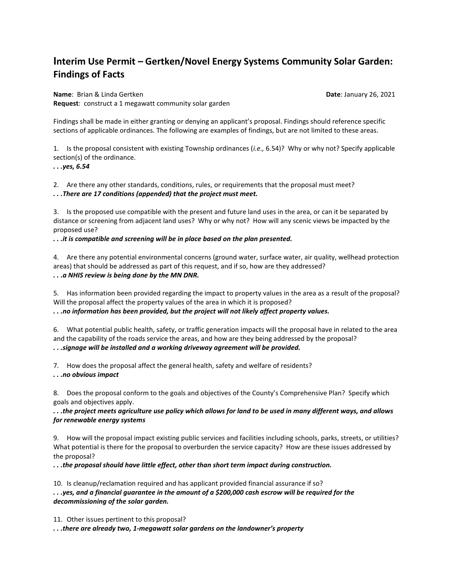# **Interim Use Permit – Gertken/Novel Energy Systems Community Solar Garden: Findings of Facts**

**Name:** Brian & Linda Gertken **Date: January 26, 2021 Request**: construct a 1 megawatt community solar garden

Findings shall be made in either granting or denying an applicant's proposal. Findings should reference specific sections of applicable ordinances. The following are examples of findings, but are not limited to these areas.

1. Is the proposal consistent with existing Township ordinances (*i.e.,* 6.54)? Why or why not? Specify applicable section(s) of the ordinance.

*. . .yes, 6.54*

2. Are there any other standards, conditions, rules, or requirements that the proposal must meet? *. . .There are 17 conditions (appended) that the project must meet.*

3. Is the proposed use compatible with the present and future land uses in the area, or can it be separated by distance or screening from adjacent land uses? Why or why not? How will any scenic views be impacted by the proposed use?

*. . .it is compatible and screening will be in place based on the plan presented.*

4. Are there any potential environmental concerns (ground water, surface water, air quality, wellhead protection areas) that should be addressed as part of this request, and if so, how are they addressed? *. . .a NHIS review is being done by the MN DNR.*

5. Has information been provided regarding the impact to property values in the area as a result of the proposal? Will the proposal affect the property values of the area in which it is proposed?

*. . .no information has been provided, but the project will not likely affect property values.*

6. What potential public health, safety, or traffic generation impacts will the proposal have in related to the area and the capability of the roads service the areas, and how are they being addressed by the proposal? *. . .signage will be installed and a working driveway agreement will be provided.* 

7. How does the proposal affect the general health, safety and welfare of residents?

*. . .no obvious impact*

8. Does the proposal conform to the goals and objectives of the County's Comprehensive Plan? Specify which goals and objectives apply.

*. . .the project meets agriculture use policy which allows for land to be used in many different ways, and allows for renewable energy systems*

9. How will the proposal impact existing public services and facilities including schools, parks, streets, or utilities? What potential is there for the proposal to overburden the service capacity? How are these issues addressed by the proposal?

*. . .the proposal should have little effect, other than short term impact during construction.*

10. Is cleanup/reclamation required and has applicant provided financial assurance if so? *. . .yes, and a financial guarantee in the amount of a \$200,000 cash escrow will be required for the decommissioning of the solar garden.*

11. Other issues pertinent to this proposal?

*. . .there are already two, 1-megawatt solar gardens on the landowner's property*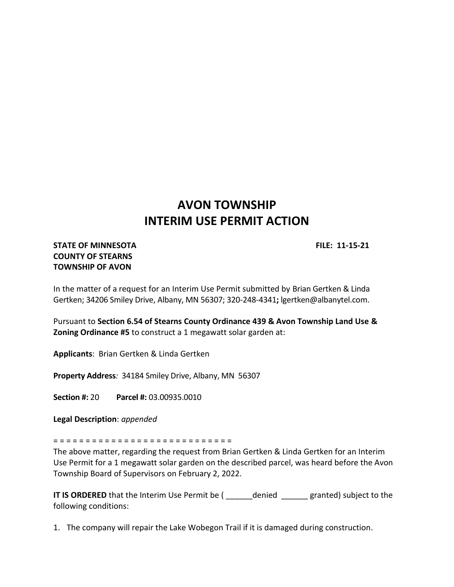# **AVON TOWNSHIP INTERIM USE PERMIT ACTION**

#### **STATE OF MINNESOTA FILE: 11-15-21 COUNTY OF STEARNS TOWNSHIP OF AVON**

In the matter of a request for an Interim Use Permit submitted by Brian Gertken & Linda Gertken; 34206 Smiley Drive, Albany, MN 56307; 320-248-4341**;** lgertken@albanytel.com.

Pursuant to **Section 6.54 of Stearns County Ordinance 439 & Avon Township Land Use & Zoning Ordinance #5** to construct a 1 megawatt solar garden at:

**Applicants**: Brian Gertken & Linda Gertken

**Property Address***:*34184 Smiley Drive, Albany, MN 56307

**Section #:** 20 **Parcel #:** 03.00935.0010

**Legal Description**: *appended*

= = = = = = = = = = = = = = = = = = = = = = = = = = = =

The above matter, regarding the request from Brian Gertken & Linda Gertken for an Interim Use Permit for a 1 megawatt solar garden on the described parcel, was heard before the Avon Township Board of Supervisors on February 2, 2022.

**IT IS ORDERED** that the Interim Use Permit be ( \_\_\_\_\_\_denied \_\_\_\_\_granted) subject to the following conditions:

1. The company will repair the Lake Wobegon Trail if it is damaged during construction.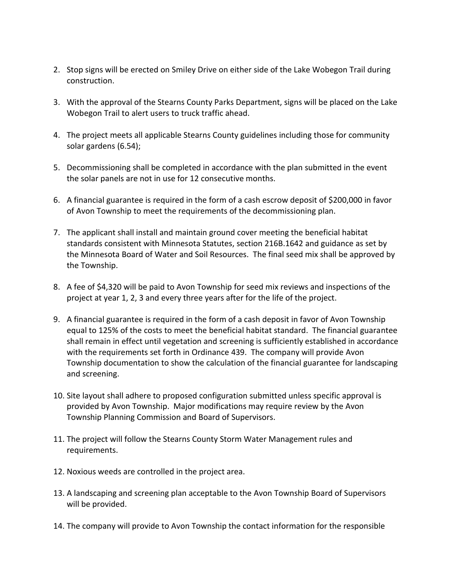- 2. Stop signs will be erected on Smiley Drive on either side of the Lake Wobegon Trail during construction.
- 3. With the approval of the Stearns County Parks Department, signs will be placed on the Lake Wobegon Trail to alert users to truck traffic ahead.
- 4. The project meets all applicable Stearns County guidelines including those for community solar gardens (6.54);
- 5. Decommissioning shall be completed in accordance with the plan submitted in the event the solar panels are not in use for 12 consecutive months.
- 6. A financial guarantee is required in the form of a cash escrow deposit of \$200,000 in favor of Avon Township to meet the requirements of the decommissioning plan.
- 7. The applicant shall install and maintain ground cover meeting the beneficial habitat standards consistent with Minnesota Statutes, section 216B.1642 and guidance as set by the Minnesota Board of Water and Soil Resources. The final seed mix shall be approved by the Township.
- 8. A fee of \$4,320 will be paid to Avon Township for seed mix reviews and inspections of the project at year 1, 2, 3 and every three years after for the life of the project.
- 9. A financial guarantee is required in the form of a cash deposit in favor of Avon Township equal to 125% of the costs to meet the beneficial habitat standard. The financial guarantee shall remain in effect until vegetation and screening is sufficiently established in accordance with the requirements set forth in Ordinance 439. The company will provide Avon Township documentation to show the calculation of the financial guarantee for landscaping and screening.
- 10. Site layout shall adhere to proposed configuration submitted unless specific approval is provided by Avon Township. Major modifications may require review by the Avon Township Planning Commission and Board of Supervisors.
- 11. The project will follow the Stearns County Storm Water Management rules and requirements.
- 12. Noxious weeds are controlled in the project area.
- 13. A landscaping and screening plan acceptable to the Avon Township Board of Supervisors will be provided.
- 14. The company will provide to Avon Township the contact information for the responsible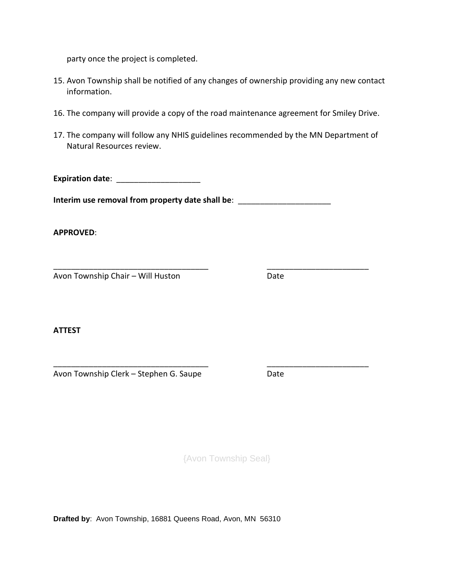party once the project is completed.

- 15. Avon Township shall be notified of any changes of ownership providing any new contact information.
- 16. The company will provide a copy of the road maintenance agreement for Smiley Drive.
- 17. The company will follow any NHIS guidelines recommended by the MN Department of Natural Resources review.

**Expiration date:** \_\_\_\_\_\_\_\_\_\_\_\_\_\_\_\_\_\_\_\_\_

**Interim use removal from property date shall be**: \_\_\_\_\_\_\_\_\_\_\_\_\_\_\_\_\_\_\_\_\_

\_\_\_\_\_\_\_\_\_\_\_\_\_\_\_\_\_\_\_\_\_\_\_\_\_\_\_\_\_\_\_\_\_\_\_ \_\_\_\_\_\_\_\_\_\_\_\_\_\_\_\_\_\_\_\_\_\_\_

\_\_\_\_\_\_\_\_\_\_\_\_\_\_\_\_\_\_\_\_\_\_\_\_\_\_\_\_\_\_\_\_\_\_\_ \_\_\_\_\_\_\_\_\_\_\_\_\_\_\_\_\_\_\_\_\_\_\_

**APPROVED**:

Avon Township Chair – Will Huston Date

**ATTEST**

Avon Township Clerk – Stephen G. Saupe Date

{Avon Township Seal}

**Drafted by**: Avon Township, 16881 Queens Road, Avon, MN 56310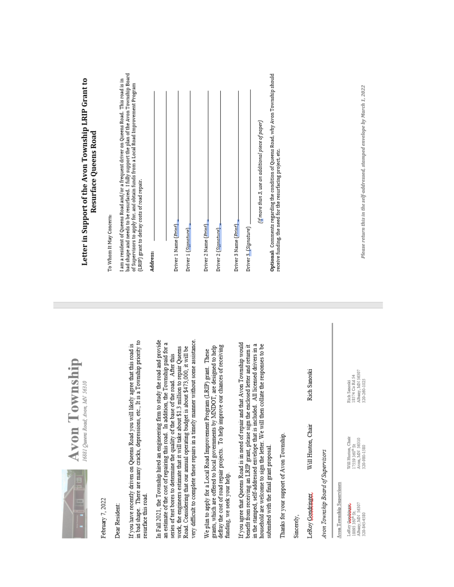| --<br>⋍ |  |
|---------|--|
|         |  |
|         |  |
|         |  |

von Township 11 Queens Road; Avon, MN 56310

February 7, 2022

Dear Resident:

in bad shape. There are many cracks, depressions, etc., It is a Township priority to If you have recently driven on Queens Road you will likely agree that this road is resurface this road. In Fall 2021, the Township hired an engineering firm to study the road and provide very difficult to complete these repairs in a timely manner without some assistance. an estimate of the cost of repairing this road. In addition, the Township paid for a work, the engineers estimate that it will take about \$1.3 million to repair Queens Road. Considering that our annual operating budget is about \$473,000, it will be series of test bores to determine the quality of the base of the road. After this

defray the cost of road repair projects. To help improve our chances of receiving funding, we seek your help. grants, which are offered to local governments by MNDOT, are designed to help We plan to apply for a Local Road Improvement Program (LRIP) grant. These

If you agree that Queens Road is in need of repair and that Avon Township would benefit from receiving an LRIP grant, please sign the enclosed letter and return it in the stamped, self-addressed envelope that is included. All licensed drivers in a household are welcome to sign the letter. We will then collate the responses to be submitted with the final grant proposal.

Thanks for your support of Avon Township.

Sincerely,

Rich Sanoski Will Huston, Chair LeRoy Goudcinger

Avon Township Board of Supervisors

Will Huston, Chair<br>17559 360<sup>th</sup> St<br>Avon, MN 56310<br>320-980-1580 Avon Township Supervisors LeRoy **Goodbase**<br>18093 360<sup>th</sup> St.<br>Albany, MN 56307<br>320-845-4580

Rich Sanoski<br>18574 Co Rd 54<br>Albany, MN 56307<br>320-260-1025

# Letter in Support of the Avon Township LRIP Grant to Resurface Queens Road

To Whom It May Concern:

I am a resident of Queens Road and/or a frequent driver on Queens Road. This road is in<br>bad shape and needs to be resurfaced. I fully support the plan of the Avon Township Board<br>of Supervisors to apply for, and obtain fund (LRIP) grant to defray costs of road repair.

| Address:                                                                            |
|-------------------------------------------------------------------------------------|
|                                                                                     |
|                                                                                     |
| Driver 1 Name (Print) _                                                             |
| Driver 1 (Signature) _                                                              |
|                                                                                     |
| Driver 2 Name ( <i>Print</i> ) _                                                    |
|                                                                                     |
| Driver 2 (Signature)                                                                |
|                                                                                     |
| Driver 3 Name ( <i>Print</i> )                                                      |
|                                                                                     |
| Driver 3 (Signature) _                                                              |
| $(i_{\rm I}^{\rm I}$ more than 3, use an additional piece of paper)                 |
| Optional: Comments regarding the condition of Ouesns Road, why Avon Township should |

**Optona**i: Comments regarumg ure comutton or queens<br>receive funding, the need for the resurfacing project, etc.

Please return this in the self-addressed, stamped envelope by March 1, 2022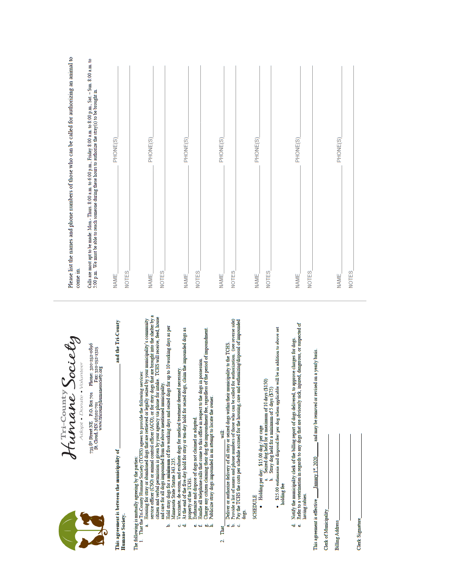Humane Society Adopt . Donate . Volunteer

735 <sup>8th</sup> Street NE P.O. Box 701 Phone: 320-252-0896<br>St. Cloud, MN 56302-701 Fax: 320-252-1325<br>www.thcountyhumanesociety.org

and the Tri-County This agreement is between the municipality of Humane Society.

The following is mutually agreeing by the parties

- 
- 1. That the Fii-County Fitnane Society (TCHS) agrees to provide the following services:<br>
a Housing for stay or abandoned dogs that are retireved or legally seized by your municipality's community<br>
service officer (CSO) or
	- Hold stray dogs for a minimum of five working days and seized dogs for up to 10 working days as per Minnesota State Statute 343.235. م
		- Vaccinate, de-worm, and evaluate dogs for medical treatment deemed necessary.<br>At the end of the five-day hold for stray or ten-day hold for seized dogs, claim the impounded dogs as ය <del>ල</del>
			- property of the TCHS.<br>Euthanize and dispose of dogs not claimed or adopted.
				- ن<br>با نه
- Handle all telephone calls that come to this office in respect to the dogs in possession.<br>Charge any citizen claiming their dog the impoundment fee, regardless of the period of impoundment.<br>Publicize stray dogs impounded i
	- أصرفه
- That  $\mathbf{a}$
- ŧ
- ن<br>مائ
- Deliver or authorize delivery of all stray or seized dogs within their municipality to the TCHS.<br>Provide a list of names and phone numbers of those who can be called for authorization. (see reverse side)<br>Pay the TCHS the dogs d

**SCHEDULE** 

- Holding per day: \$15.00 dog / per cage<br>a. Seized dog held for a maximum of 10 days (\$150)<br>b. Stray dog held for a minimum of 5 days (\$75)
	-
- 
- · \$25.00 euthanasia and disposal feel per dog when applicable will be in addition to above set holding fee
- 
- d. Notify the municipality clerk of the billing report of dogs delivered, to approve charges for dogs.<br>e. Refer to a veterinarian in regards to any dogs that are obviously sick, injured, dangerous, or suspected of
	- having rabies.

and may be removed or revised on a yearly basis. January 1st, 2020 This agreement is effective

Clerk of Municipality

**Billing Address** 

Clerk Signature

Please list the names and phone numbers of those who can be called for authorizing an animal to come in. Calls are most apt to be made: Mon. Thurs.  $8.00$  a.m. to  $6.00$  p.m., Friday  $8.00$  a.m. to  $8.00$  p.m., Sat. – Sun.  $8.00$  a.m. to  $5.00$  p.m. We must be able to reach someone during these hours to authorize the stray(s

| <b>NAME_</b> | PHONE(S) |
|--------------|----------|
| <b>NOTES</b> |          |
|              |          |
| <b>NAME</b>  | PHONE(S) |
| <b>NOTES</b> |          |
|              |          |
| NAME_        | PHONE(S) |
| <b>NOTES</b> |          |
|              |          |
| NAME_        | PHONE(S) |
| <b>NOTES</b> |          |
|              |          |
| <b>NAME</b>  | PHONE(S) |
| <b>NOTES</b> |          |
|              |          |
|              |          |
| <b>NAME</b>  | PHONE(S) |
| <b>NOTES</b> |          |
|              |          |
| <b>NAME</b>  | PHONE(S) |
| <b>NOTES</b> |          |